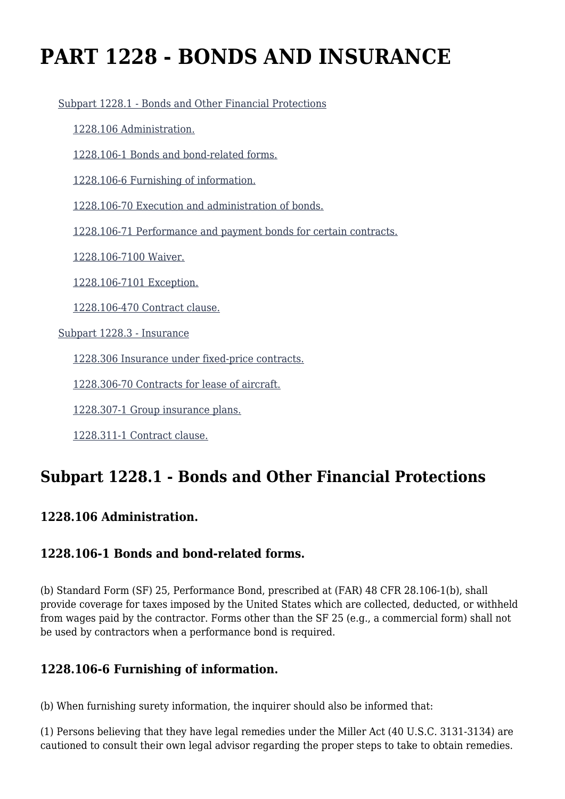# **PART 1228 - BONDS AND INSURANCE**

[Subpart 1228.1 - Bonds and Other Financial Protections](https://origin-www.acquisition.gov/%5Brp:link:tar-part-1228%5D#Subpart_1228_1_T48_50539201)

[1228.106 Administration.](https://origin-www.acquisition.gov/%5Brp:link:tar-part-1228%5D#Section_1228_106_T48_5053920111)

[1228.106-1 Bonds and bond-related forms.](https://origin-www.acquisition.gov/%5Brp:link:tar-part-1228%5D#Section_1228_106_1_T48_5053920112)

[1228.106-6 Furnishing of information.](https://origin-www.acquisition.gov/%5Brp:link:tar-part-1228%5D#Section_1228_106_6_T48_5053920113)

[1228.106-70 Execution and administration of bonds.](https://origin-www.acquisition.gov/%5Brp:link:tar-part-1228%5D#Section_1228_106_70_T48_5053920114)

[1228.106-71 Performance and payment bonds for certain contracts.](https://origin-www.acquisition.gov/%5Brp:link:tar-part-1228%5D#Section_1228_106_71_T48_5053920115)

[1228.106-7100 Waiver.](https://origin-www.acquisition.gov/%5Brp:link:tar-part-1228%5D#Section_1228_106_7100_T48_5053920116)

[1228.106-7101 Exception.](https://origin-www.acquisition.gov/%5Brp:link:tar-part-1228%5D#Section_1228_106_7101_T48_5053920117)

[1228.106-470 Contract clause.](https://origin-www.acquisition.gov/%5Brp:link:tar-part-1228%5D#Section_1228_106_470_T48_5053920118)

[Subpart 1228.3 - Insurance](https://origin-www.acquisition.gov/%5Brp:link:tar-part-1228%5D#Subpart_1228_3_T48_50539202)

[1228.306 Insurance under fixed-price contracts.](https://origin-www.acquisition.gov/%5Brp:link:tar-part-1228%5D#Section_1228_306_T48_5053920211)

[1228.306-70 Contracts for lease of aircraft.](https://origin-www.acquisition.gov/%5Brp:link:tar-part-1228%5D#Section_1228_306_70_T48_5053920212)

[1228.307-1 Group insurance plans.](https://origin-www.acquisition.gov/%5Brp:link:tar-part-1228%5D#Section_1228_307_1_T48_5053920213)

[1228.311-1 Contract clause.](https://origin-www.acquisition.gov/%5Brp:link:tar-part-1228%5D#Section_1228_311_1_T48_5053920214)

## **Subpart 1228.1 - Bonds and Other Financial Protections**

#### **1228.106 Administration.**

#### **1228.106-1 Bonds and bond-related forms.**

(b) Standard Form (SF) 25, Performance Bond, prescribed at (FAR) 48 CFR 28.106-1(b), shall provide coverage for taxes imposed by the United States which are collected, deducted, or withheld from wages paid by the contractor. Forms other than the SF 25 (e.g., a commercial form) shall not be used by contractors when a performance bond is required.

#### **1228.106-6 Furnishing of information.**

(b) When furnishing surety information, the inquirer should also be informed that:

(1) Persons believing that they have legal remedies under the Miller Act (40 U.S.C. 3131-3134) are cautioned to consult their own legal advisor regarding the proper steps to take to obtain remedies.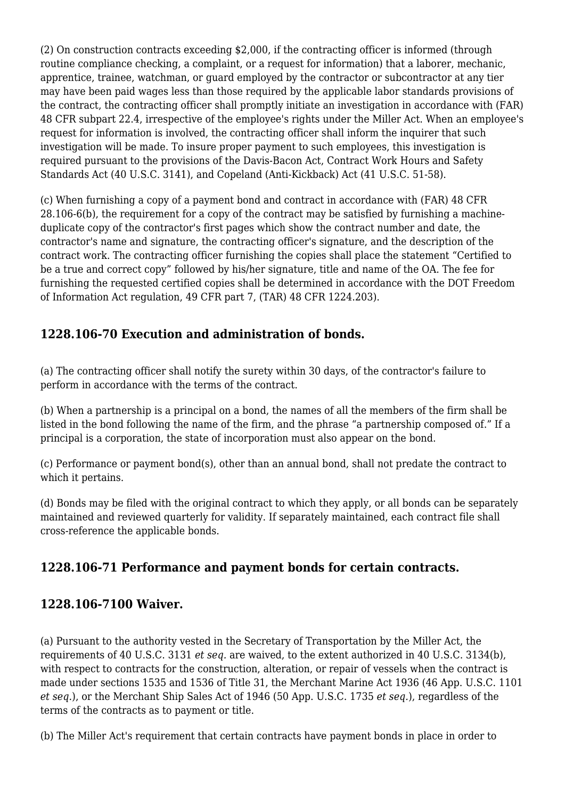(2) On construction contracts exceeding \$2,000, if the contracting officer is informed (through routine compliance checking, a complaint, or a request for information) that a laborer, mechanic, apprentice, trainee, watchman, or guard employed by the contractor or subcontractor at any tier may have been paid wages less than those required by the applicable labor standards provisions of the contract, the contracting officer shall promptly initiate an investigation in accordance with (FAR) 48 CFR subpart 22.4, irrespective of the employee's rights under the Miller Act. When an employee's request for information is involved, the contracting officer shall inform the inquirer that such investigation will be made. To insure proper payment to such employees, this investigation is required pursuant to the provisions of the Davis-Bacon Act, Contract Work Hours and Safety Standards Act (40 U.S.C. 3141), and Copeland (Anti-Kickback) Act (41 U.S.C. 51-58).

(c) When furnishing a copy of a payment bond and contract in accordance with (FAR) 48 CFR 28.106-6(b), the requirement for a copy of the contract may be satisfied by furnishing a machineduplicate copy of the contractor's first pages which show the contract number and date, the contractor's name and signature, the contracting officer's signature, and the description of the contract work. The contracting officer furnishing the copies shall place the statement "Certified to be a true and correct copy" followed by his/her signature, title and name of the OA. The fee for furnishing the requested certified copies shall be determined in accordance with the DOT Freedom of Information Act regulation, 49 CFR part 7, (TAR) 48 CFR 1224.203).

#### **1228.106-70 Execution and administration of bonds.**

(a) The contracting officer shall notify the surety within 30 days, of the contractor's failure to perform in accordance with the terms of the contract.

(b) When a partnership is a principal on a bond, the names of all the members of the firm shall be listed in the bond following the name of the firm, and the phrase "a partnership composed of." If a principal is a corporation, the state of incorporation must also appear on the bond.

(c) Performance or payment bond(s), other than an annual bond, shall not predate the contract to which it pertains.

(d) Bonds may be filed with the original contract to which they apply, or all bonds can be separately maintained and reviewed quarterly for validity. If separately maintained, each contract file shall cross-reference the applicable bonds.

#### **1228.106-71 Performance and payment bonds for certain contracts.**

#### **1228.106-7100 Waiver.**

(a) Pursuant to the authority vested in the Secretary of Transportation by the Miller Act, the requirements of 40 U.S.C. 3131 *et seq.* are waived, to the extent authorized in 40 U.S.C. 3134(b), with respect to contracts for the construction, alteration, or repair of vessels when the contract is made under sections 1535 and 1536 of Title 31, the Merchant Marine Act 1936 (46 App. U.S.C. 1101 *et seq.*), or the Merchant Ship Sales Act of 1946 (50 App. U.S.C. 1735 *et seq.*), regardless of the terms of the contracts as to payment or title.

(b) The Miller Act's requirement that certain contracts have payment bonds in place in order to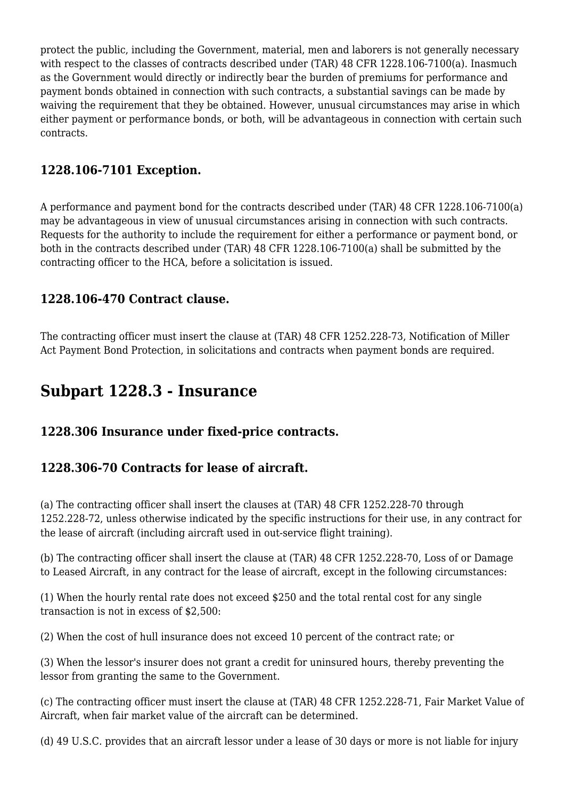protect the public, including the Government, material, men and laborers is not generally necessary with respect to the classes of contracts described under (TAR) 48 CFR 1228.106-7100(a). Inasmuch as the Government would directly or indirectly bear the burden of premiums for performance and payment bonds obtained in connection with such contracts, a substantial savings can be made by waiving the requirement that they be obtained. However, unusual circumstances may arise in which either payment or performance bonds, or both, will be advantageous in connection with certain such contracts.

#### **1228.106-7101 Exception.**

A performance and payment bond for the contracts described under (TAR) 48 CFR 1228.106-7100(a) may be advantageous in view of unusual circumstances arising in connection with such contracts. Requests for the authority to include the requirement for either a performance or payment bond, or both in the contracts described under (TAR) 48 CFR 1228.106-7100(a) shall be submitted by the contracting officer to the HCA, before a solicitation is issued.

#### **1228.106-470 Contract clause.**

The contracting officer must insert the clause at (TAR) 48 CFR 1252.228-73, Notification of Miller Act Payment Bond Protection, in solicitations and contracts when payment bonds are required.

### **Subpart 1228.3 - Insurance**

#### **1228.306 Insurance under fixed-price contracts.**

#### **1228.306-70 Contracts for lease of aircraft.**

(a) The contracting officer shall insert the clauses at (TAR) 48 CFR 1252.228-70 through 1252.228-72, unless otherwise indicated by the specific instructions for their use, in any contract for the lease of aircraft (including aircraft used in out-service flight training).

(b) The contracting officer shall insert the clause at (TAR) 48 CFR 1252.228-70, Loss of or Damage to Leased Aircraft, in any contract for the lease of aircraft, except in the following circumstances:

(1) When the hourly rental rate does not exceed \$250 and the total rental cost for any single transaction is not in excess of \$2,500:

(2) When the cost of hull insurance does not exceed 10 percent of the contract rate; or

(3) When the lessor's insurer does not grant a credit for uninsured hours, thereby preventing the lessor from granting the same to the Government.

(c) The contracting officer must insert the clause at (TAR) 48 CFR 1252.228-71, Fair Market Value of Aircraft, when fair market value of the aircraft can be determined.

(d) 49 U.S.C. provides that an aircraft lessor under a lease of 30 days or more is not liable for injury